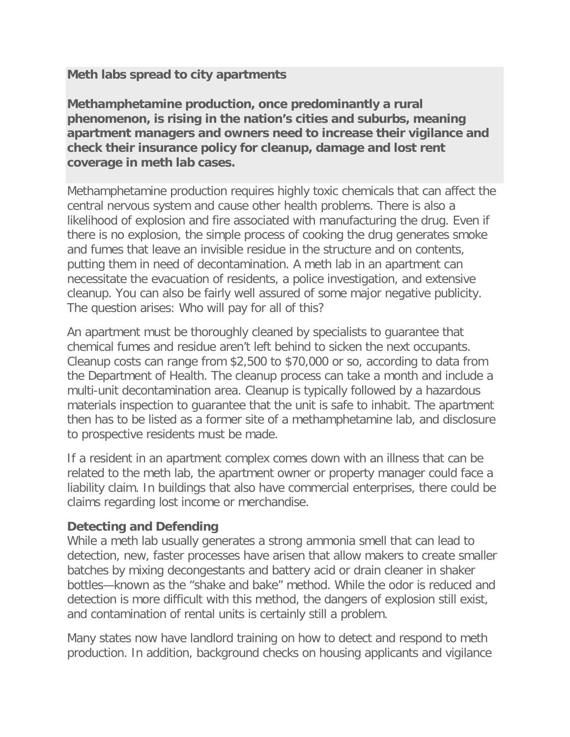## **Meth labs spread to city apartments**

**Methamphetamine production, once predominantly a rural phenomenon, is rising in the nation's cities and suburbs, meaning apartment managers and owners need to increase their vigilance and check their insurance policy for cleanup, damage and lost rent coverage in meth lab cases.**

Methamphetamine production requires highly toxic chemicals that can affect the central nervous system and cause other health problems. There is also a likelihood of explosion and fire associated with manufacturing the drug. Even if there is no explosion, the simple process of cooking the drug generates smoke and fumes that leave an invisible residue in the structure and on contents, putting them in need of decontamination. A meth lab in an apartment can necessitate the evacuation of residents, a police investigation, and extensive cleanup. You can also be fairly well assured of some major negative publicity. The question arises: Who will pay for all of this?

An apartment must be thoroughly cleaned by specialists to guarantee that chemical fumes and residue aren't left behind to sicken the next occupants. Cleanup costs can range from \$2,500 to \$70,000 or so, according to data from the Department of Health. The cleanup process can take a month and include a multi-unit decontamination area. Cleanup is typically followed by a hazardous materials inspection to guarantee that the unit is safe to inhabit. The apartment then has to be listed as a former site of a methamphetamine lab, and disclosure to prospective residents must be made.

If a resident in an apartment complex comes down with an illness that can be related to the meth lab, the apartment owner or property manager could face a liability claim. In buildings that also have commercial enterprises, there could be claims regarding lost income or merchandise.

## **Detecting and Defending**

While a meth lab usually generates a strong ammonia smell that can lead to detection, new, faster processes have arisen that allow makers to create smaller batches by mixing decongestants and battery acid or drain cleaner in shaker bottles—known as the "shake and bake" method. While the odor is reduced and detection is more difficult with this method, the dangers of explosion still exist, and contamination of rental units is certainly still a problem.

Many states now have landlord training on how to detect and respond to meth production. In addition, background checks on housing applicants and vigilance